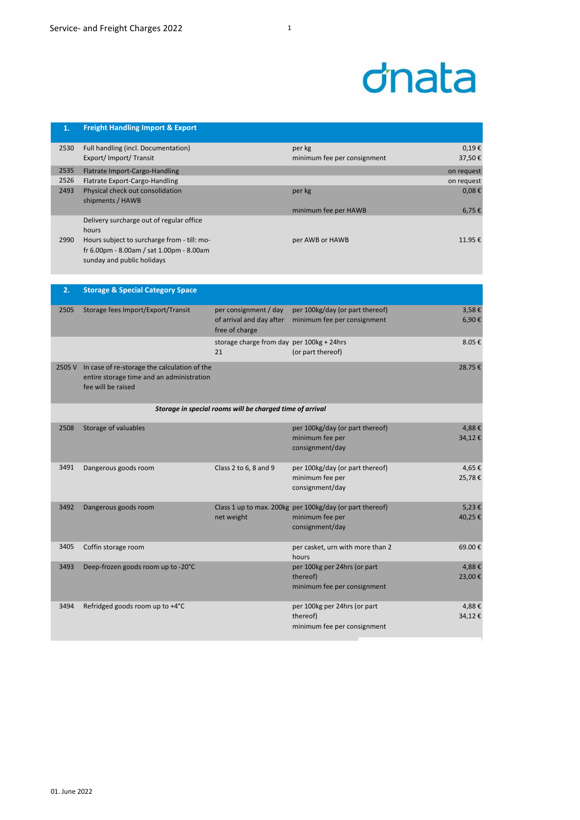| 1.   | <b>Freight Handling Import &amp; Export</b>          |                                                          |                                 |              |
|------|------------------------------------------------------|----------------------------------------------------------|---------------------------------|--------------|
| 2530 | Full handling (incl. Documentation)                  |                                                          | per kg                          | 0,19€        |
|      | Export/ Import/ Transit                              |                                                          | minimum fee per consignment     | 37,50€       |
| 2535 | Flatrate Import-Cargo-Handling                       |                                                          |                                 | on request   |
| 2526 | Flatrate Export-Cargo-Handling                       |                                                          |                                 | on request   |
| 2493 | Physical check out consolidation<br>shipments / HAWB |                                                          | per kg                          | 0,08€        |
|      |                                                      |                                                          | minimum fee per HAWB            | 6,75€        |
|      | Delivery surcharge out of regular office<br>hours    |                                                          |                                 |              |
| 2990 | Hours subject to surcharge from - till: mo-          |                                                          | per AWB or HAWB                 | 11.95€       |
|      | fr 6.00pm - 8.00am / sat 1.00pm - 8.00am             |                                                          |                                 |              |
|      | sunday and public holidays                           |                                                          |                                 |              |
|      |                                                      |                                                          |                                 |              |
| 2.   | <b>Storage &amp; Special Category Space</b>          |                                                          |                                 |              |
|      |                                                      |                                                          |                                 |              |
| 2505 | Storage fees Import/Export/Transit                   | per consignment / day                                    | per 100kg/day (or part thereof) | 3,58€        |
|      |                                                      | of arrival and day after<br>free of charge               | minimum fee per consignment     | 6,90€        |
|      |                                                      | storage charge from day per 100kg + 24hrs                |                                 | 8.05€        |
|      |                                                      | 21                                                       | (or part thereof)               |              |
|      | 2505 V In case of re-storage the calculation of the  |                                                          |                                 | 28.75€       |
|      | entire storage time and an administration            |                                                          |                                 |              |
|      | fee will be raised                                   |                                                          |                                 |              |
|      |                                                      | Storage in special rooms will be charged time of arrival |                                 |              |
|      |                                                      |                                                          |                                 |              |
| 2508 | Storage of valuables                                 |                                                          | ner 100kg/day (or nart thereof) | $A$ $88$ $E$ |

| 2508 | Storage of valuables               |                       | per 100kg/day (or part thereof)<br>minimum fee per<br>consignment/day                          | 4,88€<br>34,12€ |
|------|------------------------------------|-----------------------|------------------------------------------------------------------------------------------------|-----------------|
| 3491 | Dangerous goods room               | Class 2 to 6, 8 and 9 | per 100kg/day (or part thereof)<br>minimum fee per<br>consignment/day                          | 4,65€<br>25,78€ |
| 3492 | Dangerous goods room               | net weight            | Class 1 up to max. 200kg per 100kg/day (or part thereof)<br>minimum fee per<br>consignment/day | 5,23€<br>40,25€ |
| 3405 | Coffin storage room                |                       | per casket, urn with more than 2<br>hours                                                      | 69.00€          |
| 3493 | Deep-frozen goods room up to -20°C |                       | per 100kg per 24hrs (or part<br>thereof)<br>minimum fee per consignment                        | 4,88€<br>23,00€ |
| 3494 | Refridged goods room up to +4°C    |                       | per 100kg per 24hrs (or part<br>thereof)<br>minimum fee per consignment                        | 4,88€<br>34,12€ |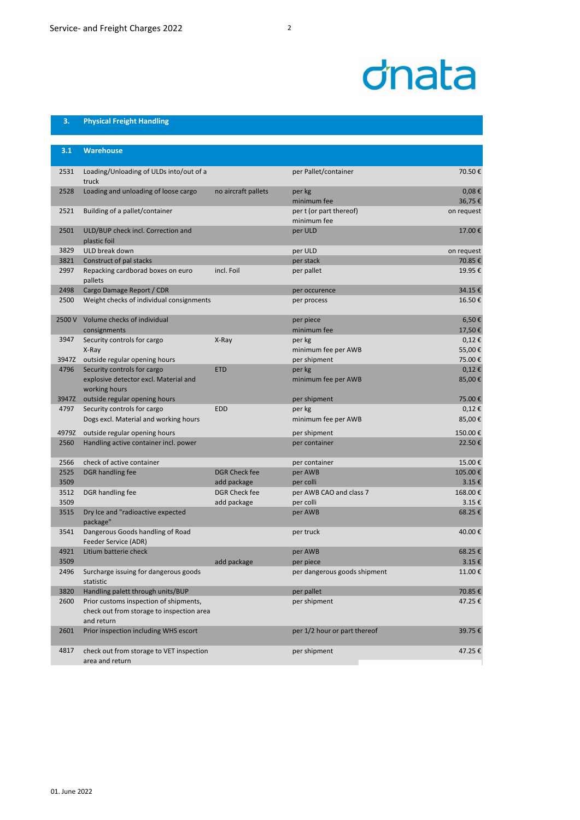## dnata

## **3. Physical Freight Handling**

| 3.1   | <b>Warehouse</b>                                                                                  |                      |                                        |                      |
|-------|---------------------------------------------------------------------------------------------------|----------------------|----------------------------------------|----------------------|
| 2531  | Loading/Unloading of ULDs into/out of a<br>truck                                                  |                      | per Pallet/container                   | 70.50€               |
| 2528  | Loading and unloading of loose cargo                                                              | no aircraft pallets  | per kg<br>minimum fee                  | $0,08 \in$<br>36,75€ |
| 2521  | Building of a pallet/container                                                                    |                      | per t (or part thereof)<br>minimum fee | on request           |
| 2501  | ULD/BUP check incl. Correction and<br>plastic foil                                                |                      | per ULD                                | 17.00€               |
| 3829  | ULD break down                                                                                    |                      | per ULD                                | on request           |
| 3821  | Construct of pal stacks                                                                           |                      | per stack                              | 70.85€               |
| 2997  | Repacking cardborad boxes on euro<br>pallets                                                      | incl. Foil           | per pallet                             | 19.95€               |
| 2498  | Cargo Damage Report / CDR                                                                         |                      | per occurence                          | 34.15€               |
| 2500  | Weight checks of individual consignments                                                          |                      | per process                            | 16.50€               |
|       | 2500 V Volume checks of individual<br>consignments                                                |                      | per piece<br>minimum fee               | 6,50€<br>17,50€      |
| 3947  | Security controls for cargo                                                                       | X-Ray                | per kg                                 | $0,12 \in$           |
|       | X-Ray                                                                                             |                      | minimum fee per AWB                    | 55,00€               |
|       | 3947Z outside regular opening hours                                                               |                      | per shipment                           | 75.00€               |
| 4796  | Security controls for cargo                                                                       | <b>ETD</b>           | per kg                                 | $0,12 \in$           |
|       | explosive detector excl. Material and<br>working hours                                            |                      | minimum fee per AWB                    | 85,00€               |
|       | 3947Z outside regular opening hours                                                               |                      | per shipment                           | 75.00€               |
| 4797  | Security controls for cargo                                                                       | <b>EDD</b>           | per kg                                 | $0,12 \in$           |
|       | Dogs excl. Material and working hours                                                             |                      | minimum fee per AWB                    | 85,00€               |
| 4979Z | outside regular opening hours                                                                     |                      | per shipment                           | 150.00€              |
| 2560  | Handling active container incl. power                                                             |                      | per container                          | 22.50€               |
| 2566  | check of active container                                                                         |                      | per container                          | 15.00€               |
| 2525  | DGR handling fee                                                                                  | <b>DGR Check fee</b> | per AWB                                | 105.00€              |
| 3509  |                                                                                                   | add package          | per colli                              | 3.15€                |
| 3512  | DGR handling fee                                                                                  | <b>DGR Check fee</b> | per AWB CAO and class 7                | 168.00€              |
| 3509  |                                                                                                   | add package          | per colli                              | 3.15€                |
| 3515  | Dry Ice and "radioactive expected<br>package"                                                     |                      | per AWB                                | 68.25€               |
| 3541  | Dangerous Goods handling of Road<br>Feeder Service (ADR)                                          |                      | per truck                              | 40.00€               |
| 4921  | Litium batterie check                                                                             |                      | per AWB                                | 68.25€               |
| 3509  |                                                                                                   | add package          | per piece                              | 3.15€                |
| 2496  | Surcharge issuing for dangerous goods<br>statistic                                                |                      | per dangerous goods shipment           | 11.00€               |
| 3820  | Handling palett through units/BUP                                                                 |                      | per pallet                             | 70.85€               |
| 2600  | Prior customs inspection of shipments,<br>check out from storage to inspection area<br>and return |                      | per shipment                           | 47.25€               |
| 2601  | Prior inspection including WHS escort                                                             |                      | per 1/2 hour or part thereof           | 39.75€               |
| 4817  | check out from storage to VET inspection<br>area and return                                       |                      | per shipment                           | 47.25€               |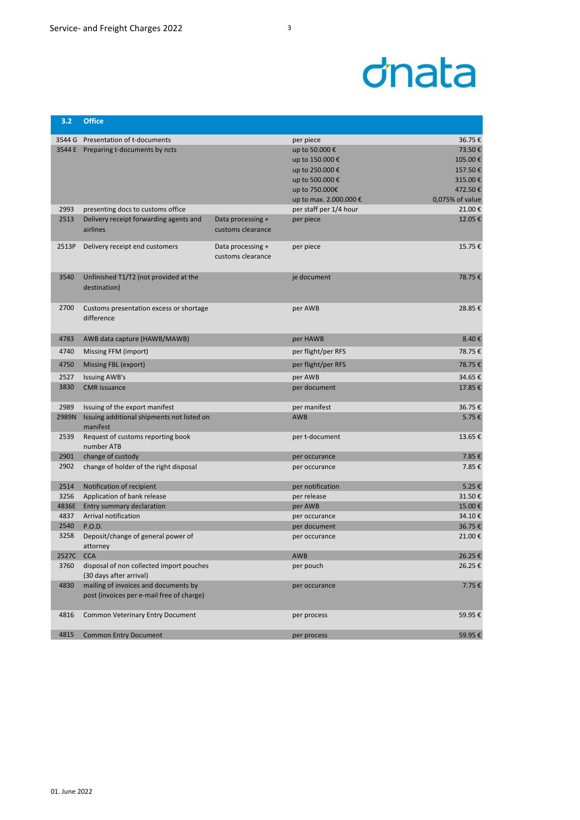| 3.2       | <b>Office</b>                                                       |                   |                        |                 |
|-----------|---------------------------------------------------------------------|-------------------|------------------------|-----------------|
|           | 3544 G Presentation of t-documents                                  |                   | per piece              | 36.75€          |
|           | 3544 E Preparing t-documents by ncts                                |                   | up to 50.000 €         | 73.50€          |
|           |                                                                     |                   | up to 150.000 €        | 105.00€         |
|           |                                                                     |                   | up to 250.000 €        | 157.50€         |
|           |                                                                     |                   | up to 500.000 €        | 315.00€         |
|           |                                                                     |                   | up to 750.000€         | 472.50€         |
|           |                                                                     |                   | up to max. 2.000.000 € | 0,075% of value |
| 2993      | presenting docs to customs office                                   |                   | per staff per 1/4 hour | 21.00€          |
| 2513      | Delivery receipt forwarding agents and                              | Data processing + | per piece              | 12.05€          |
|           | airlines                                                            | customs clearance |                        |                 |
|           |                                                                     |                   |                        |                 |
| 2513P     | Delivery receipt end customers                                      | Data processing + | per piece              | 15.75€          |
|           |                                                                     | customs clearance |                        |                 |
|           |                                                                     |                   |                        |                 |
| 3540      | Unfinished T1/T2 (not provided at the                               |                   | je document            | 78.75€          |
|           | destination)                                                        |                   |                        |                 |
|           |                                                                     |                   |                        |                 |
| 2700      | Customs presentation excess or shortage                             |                   | per AWB                | 28.85€          |
|           | difference                                                          |                   |                        |                 |
| 4783      | AWB data capture (HAWB/MAWB)                                        |                   | per HAWB               | 8.40€           |
|           |                                                                     |                   |                        | 78.75€          |
| 4740      | Missing FFM (import)                                                |                   | per flight/per RFS     |                 |
| 4750      | Missing FBL (export)                                                |                   | per flight/per RFS     | 78.75€          |
| 2527      | <b>Issuing AWB's</b>                                                |                   | per AWB                | 34.65€          |
| 3830      | <b>CMR</b> issuance                                                 |                   | per document           | 17.85€          |
| 2989      | Issuing of the export manifest                                      |                   | per manifest           | 36.75€          |
| 2989N     | Issuing additional shipments not listed on                          |                   | <b>AWB</b>             | 5.75€           |
|           | manifest                                                            |                   |                        |                 |
| 2539      | Request of customs reporting book                                   |                   | per t-document         | 13.65€          |
|           | number ATB                                                          |                   |                        |                 |
| 2901      | change of custody                                                   |                   | per occurance          | 7.85€           |
| 2902      | change of holder of the right disposal                              |                   | per occurance          | 7.85€           |
|           |                                                                     |                   |                        |                 |
| 2514      | Notification of recipient                                           |                   | per notification       | 5.25€           |
| 3256      | Application of bank release                                         |                   | per release            | 31.50€          |
| 4836E     | Entry summary declaration                                           |                   | per AWB                | 15.00€          |
| 4837      | Arrival notification                                                |                   | per occurance          | 34.10€          |
| 2540      | P.O.D.                                                              |                   | per document           | 36.75€          |
| 3258      | Deposit/change of general power of                                  |                   | per occurance          | 21.00€          |
|           | attorney                                                            |                   |                        |                 |
| 2527C CCA |                                                                     |                   | AWB                    | 26.25€          |
| 3760      | disposal of non collected import pouches<br>(30 days after arrival) |                   | per pouch              | 26.25€          |
| 4830      | mailing of invoices and documents by                                |                   | per occurance          | 7.75€           |
|           | post (invoices per e-mail free of charge)                           |                   |                        |                 |
|           |                                                                     |                   |                        |                 |
| 4816      | Common Veterinary Entry Document                                    |                   | per process            | 59.95€          |
|           |                                                                     |                   |                        |                 |
| 4815      | <b>Common Entry Document</b>                                        |                   | per process            | 59.95€          |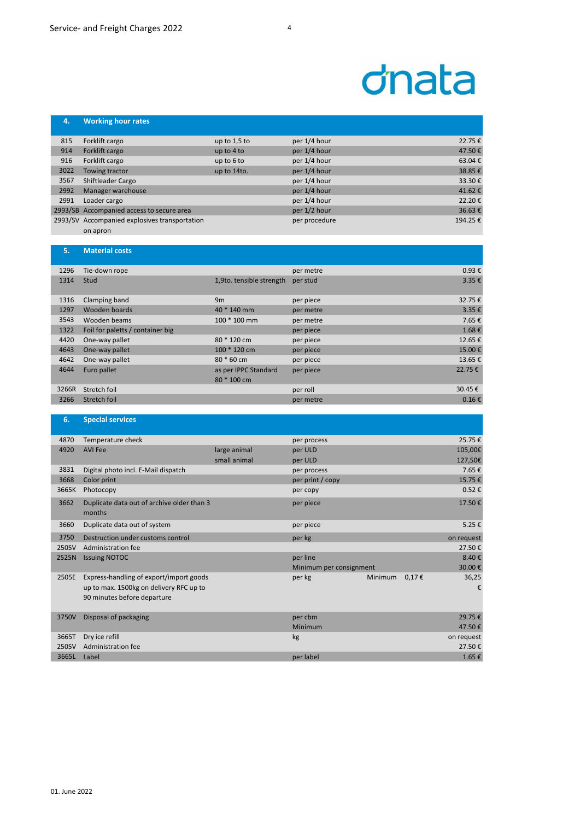## dnata

| 4.   | <b>Working hour rates</b>                     |                |               |         |
|------|-----------------------------------------------|----------------|---------------|---------|
|      |                                               |                |               |         |
| 815  | Forklift cargo                                | up to $1,5$ to | per 1/4 hour  | 22.75€  |
| 914  | Forklift cargo                                | up to 4 to     | per 1/4 hour  | 47.50€  |
| 916  | Forklift cargo                                | up to $6$ to   | per 1/4 hour  | 63.04€  |
| 3022 | Towing tractor                                | up to 14to.    | per 1/4 hour  | 38.85€  |
| 3567 | Shiftleader Cargo                             |                | per 1/4 hour  | 33.30€  |
| 2992 | Manager warehouse                             |                | per 1/4 hour  | 41.62€  |
| 2991 | Loader cargo                                  |                | per 1/4 hour  | 22.20€  |
|      | 2993/SB Accompanied access to secure area     |                | per 1/2 hour  | 36.63€  |
|      | 2993/SV Accompanied explosives transportation |                | per procedure | 194.25€ |
|      | on apron                                      |                |               |         |

| 5.    | <b>Material costs</b>            |                                     |           |                 |
|-------|----------------------------------|-------------------------------------|-----------|-----------------|
| 1296  | Tie-down rope                    |                                     | per metre | 0.93€           |
| 1314  | Stud                             | 1,9to. tensible strength            | per stud  | 3.35 $\epsilon$ |
| 1316  | Clamping band                    | 9m                                  | per piece | 32.75€          |
| 1297  | Wooden boards                    | 40 * 140 mm                         | per metre | 3.35€           |
| 3543  | Wooden beams                     | 100 * 100 mm                        | per metre | 7.65€           |
| 1322  | Foil for paletts / container big |                                     | per piece | 1.68€           |
| 4420  | One-way pallet                   | 80 * 120 cm                         | per piece | 12.65€          |
| 4643  | One-way pallet                   | 100 * 120 cm                        | per piece | 15.00€          |
| 4642  | One-way pallet                   | $80 * 60$ cm                        | per piece | 13.65€          |
| 4644  | Euro pallet                      | as per IPPC Standard<br>80 * 100 cm | per piece | 22.75€          |
| 3266R | Stretch foil                     |                                     | per roll  | 30.45€          |
| 3266  | Stretch foil                     |                                     | per metre | $0.16 \in$      |

| 6.    | <b>Special services</b>                              |              |                         |                |            |            |
|-------|------------------------------------------------------|--------------|-------------------------|----------------|------------|------------|
| 4870  | Temperature check                                    |              | per process             |                |            | 25.75€     |
| 4920  | <b>AVI Fee</b>                                       | large animal | per ULD                 |                |            | 105,00€    |
|       |                                                      | small animal | per ULD                 |                |            | 127,50€    |
| 3831  | Digital photo incl. E-Mail dispatch                  |              | per process             |                |            | 7.65€      |
| 3668  | Color print                                          |              | per print / copy        |                |            | 15.75€     |
| 3665K | Photocopy                                            |              | per copy                |                |            | 0.52€      |
| 3662  | Duplicate data out of archive older than 3<br>months |              | per piece               |                |            | 17.50€     |
| 3660  | Duplicate data out of system                         |              | per piece               |                |            | 5.25€      |
| 3750  | Destruction under customs control                    |              | per kg                  |                |            | on request |
| 2505V | <b>Administration fee</b>                            |              |                         |                |            | 27.50€     |
| 2525N | <b>Issuing NOTOC</b>                                 |              | per line                |                |            | 8.40€      |
|       |                                                      |              | Minimum per consignment |                |            | 30.00€     |
| 2505E | Express-handling of export/import goods              |              | per kg                  | <b>Minimum</b> | $0,17 \in$ | 36,25      |
|       | up to max. 1500kg on delivery RFC up to              |              |                         |                |            | €          |
|       | 90 minutes before departure                          |              |                         |                |            |            |
| 3750V | Disposal of packaging                                |              | per cbm                 |                |            | 29.75€     |
|       |                                                      |              | Minimum                 |                |            | 47.50€     |
| 3665T | Dry ice refill                                       |              | kg                      |                |            | on request |
| 2505V | <b>Administration fee</b>                            |              |                         |                |            | 27.50€     |
| 3665L | Label                                                |              | per label               |                |            | 1.65€      |